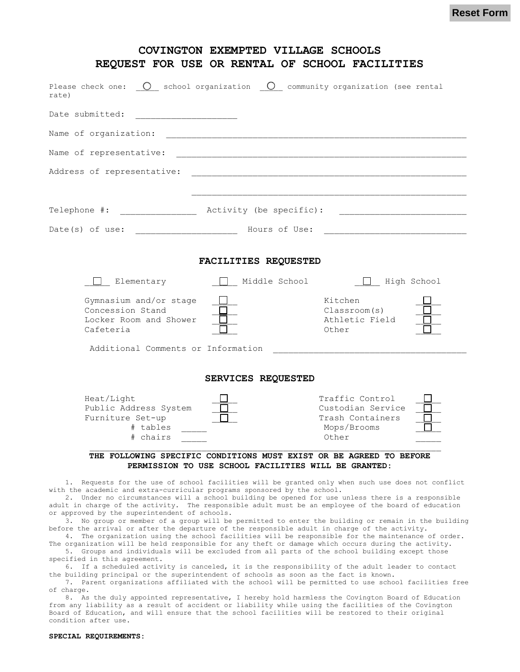**Reset Form**

| Please check one: $\bigcirc$ school organization $\bigcirc$ community organization (see rental |                         |                                                                                  |
|------------------------------------------------------------------------------------------------|-------------------------|----------------------------------------------------------------------------------|
| rate)                                                                                          |                         |                                                                                  |
| Date submitted:                                                                                |                         |                                                                                  |
| Name of organization:                                                                          |                         |                                                                                  |
| Name of representative:                                                                        |                         |                                                                                  |
| Address of representative:                                                                     |                         |                                                                                  |
| Telephone #:                                                                                   | Activity (be specific): |                                                                                  |
| Date(s) of use:                                                                                |                         |                                                                                  |
| $\Box$ Elementary                                                                              | Middle School           | High School<br><b>Contract Contract</b>                                          |
| Gymnasium and/or stage<br>Concession Stand<br>Locker Room and Shower                           |                         | Kitchen<br>Classroom(s)<br>Athletic Field                                        |
| Cafeteria<br>Additional Comments or Information                                                |                         | Other                                                                            |
|                                                                                                | SERVICES REQUESTED      |                                                                                  |
| Heat/Light<br>Public Address System<br>Furniture Set-up<br># tables                            |                         | Traffic Control<br>Custodian Service<br>Trash Containers<br>Mops/Brooms<br>Other |

1. Requests for the use of school facilities will be granted only when such use does not conflict with the academic and extra-curricular programs sponsored by the school.

2. Under no circumstances will a school building be opened for use unless there is a responsible adult in charge of the activity. The responsible adult must be an employee of the board of education or approved by the superintendent of schools.

3. No group or member of a group will be permitted to enter the building or remain in the building before the arrival or after the departure of the responsible adult in charge of the activity.

4. The organization using the school facilities will be responsible for the maintenance of order. The organization will be held responsible for any theft or damage which occurs during the activity. 5. Groups and individuals will be excluded from all parts of the school building except those

specified in this agreement. 6. If a scheduled activity is canceled, it is the responsibility of the adult leader to contact

the building principal or the superintendent of schools as soon as the fact is known.

7. Parent organizations affiliated with the school will be permitted to use school facilities free of charge.

8. As the duly appointed representative, I hereby hold harmless the Covington Board of Education from any liability as a result of accident or liability while using the facilities of the Covington Board of Education, and will ensure that the school facilities will be restored to their original condition after use.

## **SPECIAL REQUIREMENTS:**